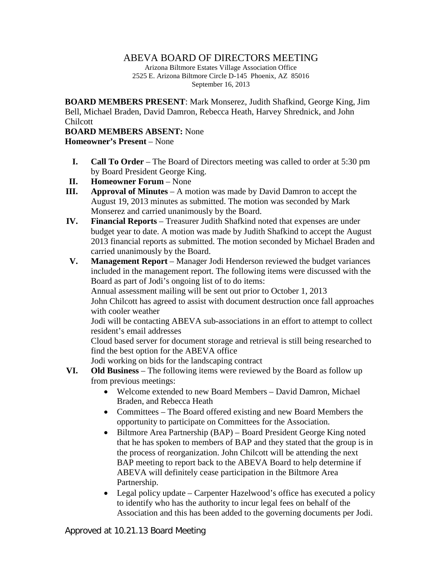## ABEVA BOARD OF DIRECTORS MEETING

Arizona Biltmore Estates Village Association Office 2525 E. Arizona Biltmore Circle D-145 Phoenix, AZ 85016 September 16, 2013

**BOARD MEMBERS PRESENT**: Mark Monserez, Judith Shafkind, George King, Jim Bell, Michael Braden, David Damron, Rebecca Heath, Harvey Shrednick, and John Chilcott

## **BOARD MEMBERS ABSENT:** None

**Homeowner's Present** – None

- **I. Call To Order** The Board of Directors meeting was called to order at 5:30 pm by Board President George King.
- **II. Homeowner Forum** None
- **III. Approval of Minutes** A motion was made by David Damron to accept the August 19, 2013 minutes as submitted. The motion was seconded by Mark Monserez and carried unanimously by the Board.
- **IV. Financial Reports** Treasurer Judith Shafkind noted that expenses are under budget year to date. A motion was made by Judith Shafkind to accept the August 2013 financial reports as submitted. The motion seconded by Michael Braden and carried unanimously by the Board.
- **V. Management Report** Manager Jodi Henderson reviewed the budget variances included in the management report. The following items were discussed with the Board as part of Jodi's ongoing list of to do items:

Annual assessment mailing will be sent out prior to October 1, 2013

John Chilcott has agreed to assist with document destruction once fall approaches with cooler weather

Jodi will be contacting ABEVA sub-associations in an effort to attempt to collect resident's email addresses

Cloud based server for document storage and retrieval is still being researched to find the best option for the ABEVA office

Jodi working on bids for the landscaping contract

- **VI. Old Business** The following items were reviewed by the Board as follow up from previous meetings:
	- Welcome extended to new Board Members David Damron, Michael Braden, and Rebecca Heath
	- Committees The Board offered existing and new Board Members the opportunity to participate on Committees for the Association.
	- Biltmore Area Partnership (BAP) Board President George King noted that he has spoken to members of BAP and they stated that the group is in the process of reorganization. John Chilcott will be attending the next BAP meeting to report back to the ABEVA Board to help determine if ABEVA will definitely cease participation in the Biltmore Area Partnership.
	- Legal policy update Carpenter Hazelwood's office has executed a policy to identify who has the authority to incur legal fees on behalf of the Association and this has been added to the governing documents per Jodi.